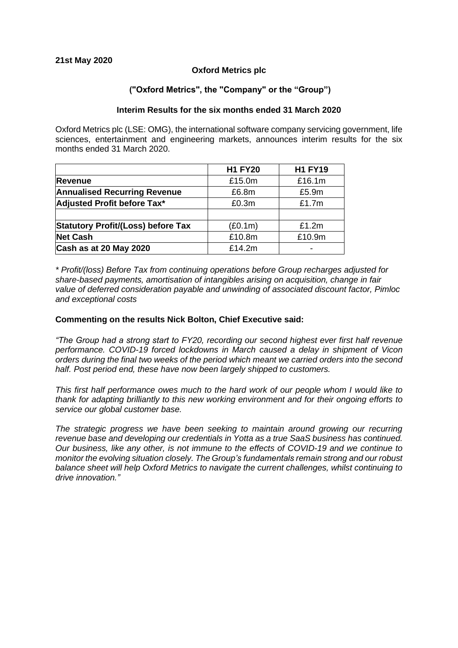# **Oxford Metrics plc**

## **("Oxford Metrics", the "Company" or the "Group")**

#### **Interim Results for the six months ended 31 March 2020**

Oxford Metrics plc (LSE: OMG), the international software company servicing government, life sciences, entertainment and engineering markets, announces interim results for the six months ended 31 March 2020.

|                                           | <b>H1 FY20</b> | <b>H1 FY19</b> |
|-------------------------------------------|----------------|----------------|
| <b>Revenue</b>                            | £15.0m         | £16.1m         |
| <b>Annualised Recurring Revenue</b>       | £6.8m          | £5.9m          |
| Adjusted Profit before Tax*               | £0.3m          | £1.7m          |
|                                           |                |                |
| <b>Statutory Profit/(Loss) before Tax</b> | (E0.1m)        | £1.2m          |
| <b>Net Cash</b>                           | £10.8m         | £10.9m         |
| Cash as at 20 May 2020                    | £14.2m         |                |

*\* Profit/(loss) Before Tax from continuing operations before Group recharges adjusted for share-based payments, amortisation of intangibles arising on acquisition, change in fair value of deferred consideration payable and unwinding of associated discount factor, Pimloc and exceptional costs*

#### **Commenting on the results Nick Bolton, Chief Executive said:**

*"The Group had a strong start to FY20, recording our second highest ever first half revenue performance. COVID-19 forced lockdowns in March caused a delay in shipment of Vicon orders during the final two weeks of the period which meant we carried orders into the second half. Post period end, these have now been largely shipped to customers.*

*This first half performance owes much to the hard work of our people whom I would like to thank for adapting brilliantly to this new working environment and for their ongoing efforts to service our global customer base.* 

*The strategic progress we have been seeking to maintain around growing our recurring revenue base and developing our credentials in Yotta as a true SaaS business has continued. Our business, like any other, is not immune to the effects of COVID-19 and we continue to monitor the evolving situation closely. The Group's fundamentals remain strong and our robust balance sheet will help Oxford Metrics to navigate the current challenges, whilst continuing to drive innovation."*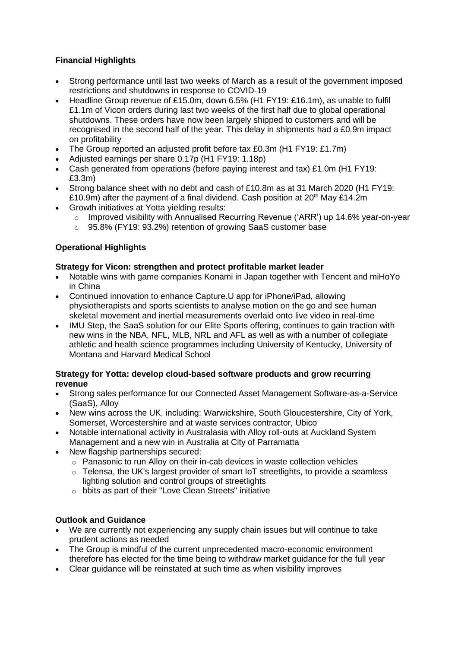# **Financial Highlights**

- Strong performance until last two weeks of March as a result of the government imposed restrictions and shutdowns in response to COVID-19
- Headline Group revenue of £15.0m, down 6.5% (H1 FY19: £16.1m), as unable to fulfil £1.1m of Vicon orders during last two weeks of the first half due to global operational shutdowns. These orders have now been largely shipped to customers and will be recognised in the second half of the year. This delay in shipments had a £0.9m impact on profitability
- The Group reported an adjusted profit before tax £0.3m (H1 FY19: £1.7m)
- Adjusted earnings per share 0.17p (H1 FY19: 1.18p)
- Cash generated from operations (before paying interest and tax) £1.0m (H1 FY19: £3.3m)
- Strong balance sheet with no debt and cash of £10.8m as at 31 March 2020 (H1 FY19: £10.9m) after the payment of a final dividend. Cash position at  $20<sup>th</sup>$  May £14.2m
- Growth initiatives at Yotta yielding results:
	- o Improved visibility with Annualised Recurring Revenue ('ARR') up 14.6% year-on-year
	- o 95.8% (FY19: 93.2%) retention of growing SaaS customer base

# **Operational Highlights**

# **Strategy for Vicon: strengthen and protect profitable market leader**

- Notable wins with game companies Konami in Japan together with Tencent and miHoYo in China
- Continued innovation to enhance Capture.U app for iPhone/iPad, allowing physiotherapists and sports scientists to analyse motion on the go and see human skeletal movement and inertial measurements overlaid onto live video in real-time
- IMU Step, the SaaS solution for our Elite Sports offering, continues to gain traction with new wins in the NBA, NFL, MLB, NRL and AFL as well as with a number of collegiate athletic and health science programmes including University of Kentucky, University of Montana and Harvard Medical School

# **Strategy for Yotta: develop cloud-based software products and grow recurring revenue**

- Strong sales performance for our Connected Asset Management Software-as-a-Service (SaaS), Alloy
- New wins across the UK, including: Warwickshire, South Gloucestershire, City of York, Somerset, Worcestershire and at waste services contractor, Ubico
- Notable international activity in Australasia with Alloy roll-outs at Auckland System Management and a new win in Australia at City of Parramatta
- New flagship partnerships secured:
	- o Panasonic to run Alloy on their in-cab devices in waste collection vehicles
	- $\circ$  Telensa, the UK's largest provider of smart IoT streetlights, to provide a seamless lighting solution and control groups of streetlights
	- o bbits as part of their "Love Clean Streets" initiative

# **Outlook and Guidance**

- We are currently not experiencing any supply chain issues but will continue to take prudent actions as needed
- The Group is mindful of the current unprecedented macro-economic environment therefore has elected for the time being to withdraw market guidance for the full year
- Clear guidance will be reinstated at such time as when visibility improves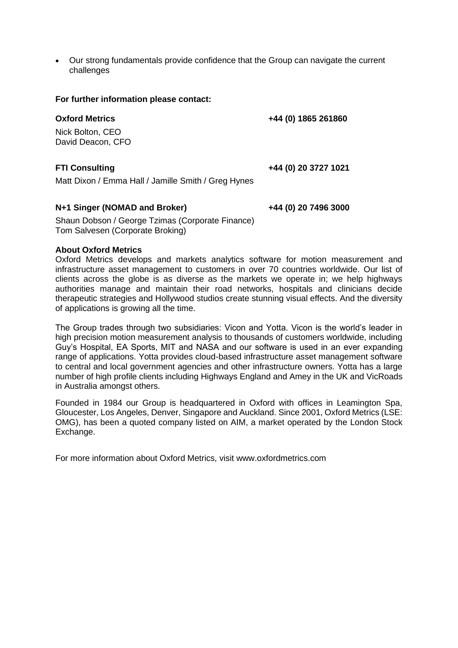• Our strong fundamentals provide confidence that the Group can navigate the current challenges

**For further information please contact:**

**Oxford Metrics +44 (0) 1865 261860**

Nick Bolton, CEO David Deacon, CFO

**FTI Consulting +44 (0) 20 3727 1021**

Matt Dixon / Emma Hall / Jamille Smith / Greg Hynes

## **N+1 Singer (NOMAD and Broker) +44 (0) 20 7496 3000**

Shaun Dobson / George Tzimas (Corporate Finance) Tom Salvesen (Corporate Broking)

## **About Oxford Metrics**

Oxford Metrics develops and markets analytics software for motion measurement and infrastructure asset management to customers in over 70 countries worldwide. Our list of clients across the globe is as diverse as the markets we operate in; we help highways authorities manage and maintain their road networks, hospitals and clinicians decide therapeutic strategies and Hollywood studios create stunning visual effects. And the diversity of applications is growing all the time.

The Group trades through two subsidiaries: Vicon and Yotta. Vicon is the world's leader in high precision motion measurement analysis to thousands of customers worldwide, including Guy's Hospital, EA Sports, MIT and NASA and our software is used in an ever expanding range of applications. Yotta provides cloud-based infrastructure asset management software to central and local government agencies and other infrastructure owners. Yotta has a large number of high profile clients including Highways England and Amey in the UK and VicRoads in Australia amongst others.

Founded in 1984 our Group is headquartered in Oxford with offices in Leamington Spa, Gloucester, Los Angeles, Denver, Singapore and Auckland. Since 2001, Oxford Metrics (LSE: OMG), has been a quoted company listed on AIM, a market operated by the London Stock Exchange.

For more information about Oxford Metrics, visit www.oxfordmetrics.com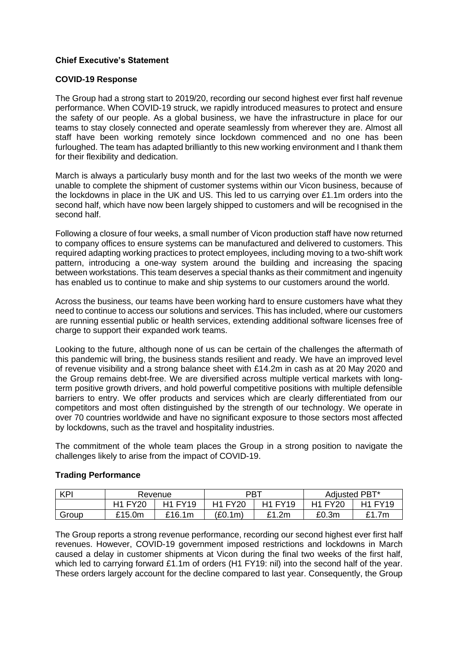# **Chief Executive's Statement**

# **COVID-19 Response**

The Group had a strong start to 2019/20, recording our second highest ever first half revenue performance. When COVID-19 struck, we rapidly introduced measures to protect and ensure the safety of our people. As a global business, we have the infrastructure in place for our teams to stay closely connected and operate seamlessly from wherever they are. Almost all staff have been working remotely since lockdown commenced and no one has been furloughed. The team has adapted brilliantly to this new working environment and I thank them for their flexibility and dedication.

March is always a particularly busy month and for the last two weeks of the month we were unable to complete the shipment of customer systems within our Vicon business, because of the lockdowns in place in the UK and US. This led to us carrying over £1.1m orders into the second half, which have now been largely shipped to customers and will be recognised in the second half.

Following a closure of four weeks, a small number of Vicon production staff have now returned to company offices to ensure systems can be manufactured and delivered to customers. This required adapting working practices to protect employees, including moving to a two-shift work pattern, introducing a one-way system around the building and increasing the spacing between workstations. This team deserves a special thanks as their commitment and ingenuity has enabled us to continue to make and ship systems to our customers around the world.

Across the business, our teams have been working hard to ensure customers have what they need to continue to access our solutions and services. This has included, where our customers are running essential public or health services, extending additional software licenses free of charge to support their expanded work teams.

Looking to the future, although none of us can be certain of the challenges the aftermath of this pandemic will bring, the business stands resilient and ready. We have an improved level of revenue visibility and a strong balance sheet with £14.2m in cash as at 20 May 2020 and the Group remains debt-free. We are diversified across multiple vertical markets with longterm positive growth drivers, and hold powerful competitive positions with multiple defensible barriers to entry. We offer products and services which are clearly differentiated from our competitors and most often distinguished by the strength of our technology. We operate in over 70 countries worldwide and have no significant exposure to those sectors most affected by lockdowns, such as the travel and hospitality industries.

The commitment of the whole team places the Group in a strong position to navigate the challenges likely to arise from the impact of COVID-19.

# **Trading Performance**

| <b>KPI</b> | Revenue        |                | <b>PBT</b>     |                | Adjusted PBT*  |                |
|------------|----------------|----------------|----------------|----------------|----------------|----------------|
|            | <b>H1 FY20</b> | <b>H1 FY19</b> | <b>H1 FY20</b> | <b>H1 FY19</b> | <b>H1 FY20</b> | <b>H1 FY19</b> |
| Group      | £15.0m         | £16.1m         | '£0.1m)        | £1.2m          | £0.3m          | £1.7m          |

The Group reports a strong revenue performance, recording our second highest ever first half revenues. However, COVID-19 government imposed restrictions and lockdowns in March caused a delay in customer shipments at Vicon during the final two weeks of the first half, which led to carrying forward £1.1m of orders (H1 FY19: nil) into the second half of the year. These orders largely account for the decline compared to last year. Consequently, the Group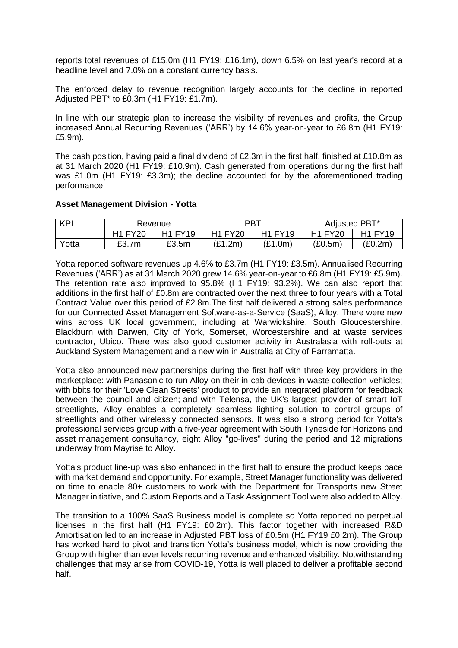reports total revenues of £15.0m (H1 FY19: £16.1m), down 6.5% on last year's record at a headline level and 7.0% on a constant currency basis.

The enforced delay to revenue recognition largely accounts for the decline in reported Adjusted PBT\* to £0.3m (H1 FY19: £1.7m).

In line with our strategic plan to increase the visibility of revenues and profits, the Group increased Annual Recurring Revenues ('ARR') by 14.6% year-on-year to £6.8m (H1 FY19: £5.9m).

The cash position, having paid a final dividend of £2.3m in the first half, finished at £10.8m as at 31 March 2020 (H1 FY19: £10.9m). Cash generated from operations during the first half was £1.0m (H1 FY19: £3.3m); the decline accounted for by the aforementioned trading performance.

## **Asset Management Division - Yotta**

| <b>KPI</b> | Revenue        |                | <b>PBT</b>     |                                             | Adjusted PBT*  |                |
|------------|----------------|----------------|----------------|---------------------------------------------|----------------|----------------|
|            | <b>H1 FY20</b> | <b>H1 FY19</b> | <b>H1 FY20</b> | H <sub>1</sub> FY <sub>1</sub> <sup>Q</sup> | <b>H1 FY20</b> | <b>H1 FY19</b> |
| Yotta      | £3.7m          | £3.5m          | 1.2m`          | (E1.0m)                                     | (E0.5m)        | (£0.2m`        |

Yotta reported software revenues up 4.6% to £3.7m (H1 FY19: £3.5m). Annualised Recurring Revenues ('ARR') as at 31 March 2020 grew 14.6% year-on-year to £6.8m (H1 FY19: £5.9m). The retention rate also improved to 95.8% (H1 FY19: 93.2%). We can also report that additions in the first half of £0.8m are contracted over the next three to four years with a Total Contract Value over this period of £2.8m.The first half delivered a strong sales performance for our Connected Asset Management Software-as-a-Service (SaaS), Alloy. There were new wins across UK local government, including at Warwickshire, South Gloucestershire, Blackburn with Darwen, City of York, Somerset, Worcestershire and at waste services contractor, Ubico. There was also good customer activity in Australasia with roll-outs at Auckland System Management and a new win in Australia at City of Parramatta.

Yotta also announced new partnerships during the first half with three key providers in the marketplace: with Panasonic to run Alloy on their in-cab devices in waste collection vehicles; with bbits for their 'Love Clean Streets' product to provide an integrated platform for feedback between the council and citizen; and with Telensa, the UK's largest provider of smart IoT streetlights, Alloy enables a completely seamless lighting solution to control groups of streetlights and other wirelessly connected sensors. It was also a strong period for Yotta's professional services group with a five-year agreement with South Tyneside for Horizons and asset management consultancy, eight Alloy "go-lives" during the period and 12 migrations underway from Mayrise to Alloy.

Yotta's product line-up was also enhanced in the first half to ensure the product keeps pace with market demand and opportunity. For example, Street Manager functionality was delivered on time to enable 80+ customers to work with the Department for Transports new Street Manager initiative, and Custom Reports and a Task Assignment Tool were also added to Alloy.

The transition to a 100% SaaS Business model is complete so Yotta reported no perpetual licenses in the first half (H1 FY19: £0.2m). This factor together with increased R&D Amortisation led to an increase in Adjusted PBT loss of £0.5m (H1 FY19 £0.2m). The Group has worked hard to pivot and transition Yotta's business model, which is now providing the Group with higher than ever levels recurring revenue and enhanced visibility. Notwithstanding challenges that may arise from COVID-19, Yotta is well placed to deliver a profitable second half.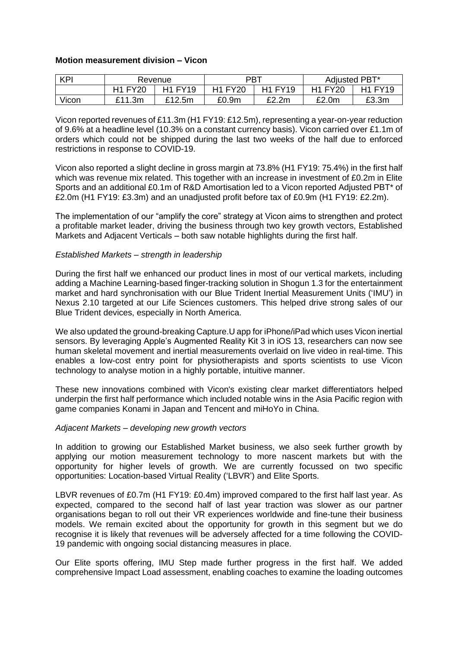## **Motion measurement division – Vicon**

| <b>KPI</b> | Revenue        |                | PBT            |                | Adjusted PBT*  |                |
|------------|----------------|----------------|----------------|----------------|----------------|----------------|
|            | <b>H1 FY20</b> | <b>H1 FY19</b> | <b>H1 FY20</b> | <b>H1 FY19</b> | <b>H1 FY20</b> | <b>H1 FY19</b> |
| Vicon      | £11.3m         | £12.5m         | £0.9m          | £2.2m          | £2.0m          | £3.3m          |

Vicon reported revenues of £11.3m (H1 FY19: £12.5m), representing a year-on-year reduction of 9.6% at a headline level (10.3% on a constant currency basis). Vicon carried over £1.1m of orders which could not be shipped during the last two weeks of the half due to enforced restrictions in response to COVID-19.

Vicon also reported a slight decline in gross margin at 73.8% (H1 FY19: 75.4%) in the first half which was revenue mix related. This together with an increase in investment of £0.2m in Elite Sports and an additional £0.1m of R&D Amortisation led to a Vicon reported Adjusted PBT\* of £2.0m (H1 FY19: £3.3m) and an unadjusted profit before tax of £0.9m (H1 FY19: £2.2m).

The implementation of our "amplify the core" strategy at Vicon aims to strengthen and protect a profitable market leader, driving the business through two key growth vectors, Established Markets and Adjacent Verticals – both saw notable highlights during the first half.

## *Established Markets – strength in leadership*

During the first half we enhanced our product lines in most of our vertical markets, including adding a Machine Learning-based finger-tracking solution in Shogun 1.3 for the entertainment market and hard synchronisation with our Blue Trident Inertial Measurement Units ('IMU') in Nexus 2.10 targeted at our Life Sciences customers. This helped drive strong sales of our Blue Trident devices, especially in North America.

We also updated the ground-breaking Capture.U app for iPhone/iPad which uses Vicon inertial sensors. By leveraging Apple's Augmented Reality Kit 3 in iOS 13, researchers can now see human skeletal movement and inertial measurements overlaid on live video in real-time. This enables a low-cost entry point for physiotherapists and sports scientists to use Vicon technology to analyse motion in a highly portable, intuitive manner.

These new innovations combined with Vicon's existing clear market differentiators helped underpin the first half performance which included notable wins in the Asia Pacific region with game companies Konami in Japan and Tencent and miHoYo in China.

## *Adjacent Markets – developing new growth vectors*

In addition to growing our Established Market business, we also seek further growth by applying our motion measurement technology to more nascent markets but with the opportunity for higher levels of growth. We are currently focussed on two specific opportunities: Location-based Virtual Reality ('LBVR') and Elite Sports.

LBVR revenues of £0.7m (H1 FY19: £0.4m) improved compared to the first half last year. As expected, compared to the second half of last year traction was slower as our partner organisations began to roll out their VR experiences worldwide and fine-tune their business models. We remain excited about the opportunity for growth in this segment but we do recognise it is likely that revenues will be adversely affected for a time following the COVID-19 pandemic with ongoing social distancing measures in place.

Our Elite sports offering, IMU Step made further progress in the first half. We added comprehensive Impact Load assessment, enabling coaches to examine the loading outcomes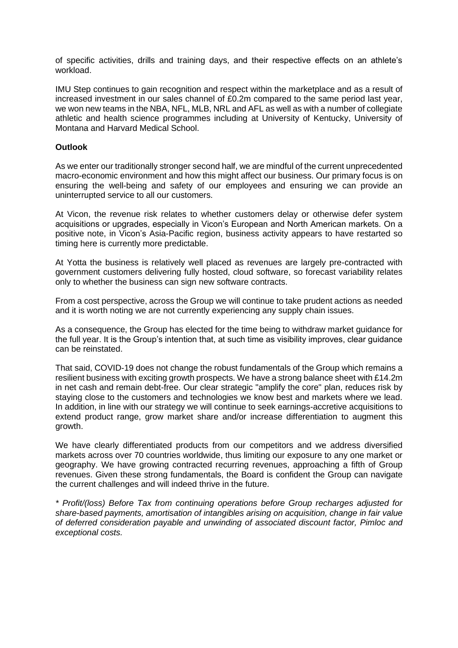of specific activities, drills and training days, and their respective effects on an athlete's workload.

IMU Step continues to gain recognition and respect within the marketplace and as a result of increased investment in our sales channel of £0.2m compared to the same period last year, we won new teams in the NBA, NFL, MLB, NRL and AFL as well as with a number of collegiate athletic and health science programmes including at University of Kentucky, University of Montana and Harvard Medical School.

## **Outlook**

As we enter our traditionally stronger second half, we are mindful of the current unprecedented macro-economic environment and how this might affect our business. Our primary focus is on ensuring the well-being and safety of our employees and ensuring we can provide an uninterrupted service to all our customers.

At Vicon, the revenue risk relates to whether customers delay or otherwise defer system acquisitions or upgrades, especially in Vicon's European and North American markets. On a positive note, in Vicon's Asia-Pacific region, business activity appears to have restarted so timing here is currently more predictable.

At Yotta the business is relatively well placed as revenues are largely pre-contracted with government customers delivering fully hosted, cloud software, so forecast variability relates only to whether the business can sign new software contracts.

From a cost perspective, across the Group we will continue to take prudent actions as needed and it is worth noting we are not currently experiencing any supply chain issues.

As a consequence, the Group has elected for the time being to withdraw market guidance for the full year. It is the Group's intention that, at such time as visibility improves, clear guidance can be reinstated.

That said, COVID-19 does not change the robust fundamentals of the Group which remains a resilient business with exciting growth prospects. We have a strong balance sheet with £14.2m in net cash and remain debt-free. Our clear strategic "amplify the core" plan, reduces risk by staying close to the customers and technologies we know best and markets where we lead. In addition, in line with our strategy we will continue to seek earnings-accretive acquisitions to extend product range, grow market share and/or increase differentiation to augment this growth.

We have clearly differentiated products from our competitors and we address diversified markets across over 70 countries worldwide, thus limiting our exposure to any one market or geography. We have growing contracted recurring revenues, approaching a fifth of Group revenues. Given these strong fundamentals, the Board is confident the Group can navigate the current challenges and will indeed thrive in the future.

*\* Profit/(loss) Before Tax from continuing operations before Group recharges adjusted for share-based payments, amortisation of intangibles arising on acquisition, change in fair value of deferred consideration payable and unwinding of associated discount factor, Pimloc and exceptional costs.*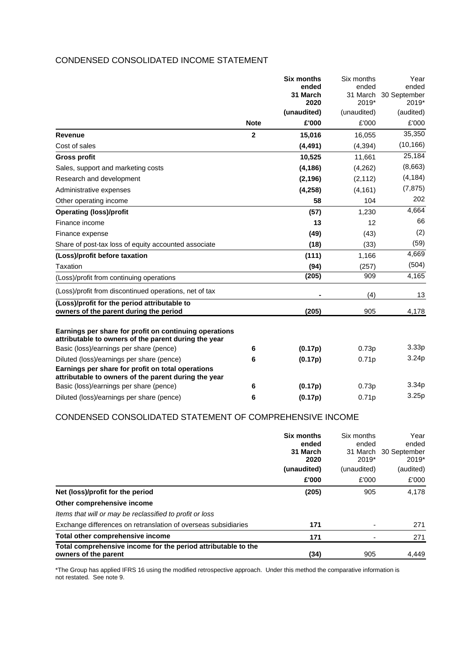# CONDENSED CONSOLIDATED INCOME STATEMENT

|                                                                                                                | <b>Six months</b> |                     | Six months        | Year               |
|----------------------------------------------------------------------------------------------------------------|-------------------|---------------------|-------------------|--------------------|
|                                                                                                                |                   | ended               | ended             | ended              |
|                                                                                                                |                   | 31 March            | 31 March<br>2019* | 30 September       |
|                                                                                                                |                   | 2020<br>(unaudited) | (unaudited)       | 2019*<br>(audited) |
|                                                                                                                | <b>Note</b>       | £'000               | £'000             | £'000              |
| <b>Revenue</b>                                                                                                 | $\mathbf 2$       | 15,016              | 16,055            | 35,350             |
| Cost of sales                                                                                                  |                   | (4, 491)            | (4, 394)          | (10, 166)          |
| <b>Gross profit</b>                                                                                            |                   | 10,525              | 11,661            | 25,184             |
| Sales, support and marketing costs                                                                             |                   | (4, 186)            | (4,262)           | (8,663)            |
| Research and development                                                                                       |                   | (2, 196)            | (2, 112)          | (4, 184)           |
| Administrative expenses                                                                                        |                   | (4, 258)            | (4, 161)          | (7, 875)           |
| Other operating income                                                                                         |                   | 58                  | 104               | 202                |
| <b>Operating (loss)/profit</b>                                                                                 |                   | (57)                | 1,230             | 4,664              |
| Finance income                                                                                                 |                   | 13                  | 12                | 66                 |
| Finance expense                                                                                                |                   | (49)                | (43)              | (2)                |
| Share of post-tax loss of equity accounted associate                                                           |                   | (18)                | (33)              | (59)               |
| (Loss)/profit before taxation                                                                                  |                   | (111)               | 1,166             | 4,669              |
| Taxation                                                                                                       |                   | (94)                | (257)             | (504)              |
| (Loss)/profit from continuing operations                                                                       |                   | (205)               | 909               | 4,165              |
| (Loss)/profit from discontinued operations, net of tax                                                         |                   |                     | (4)               | 13                 |
| (Loss)/profit for the period attributable to<br>owners of the parent during the period                         |                   | (205)               | 905               | 4,178              |
| Earnings per share for profit on continuing operations<br>attributable to owners of the parent during the year |                   |                     |                   |                    |
| Basic (loss)/earnings per share (pence)                                                                        | 6                 | (0.17p)             | 0.73p             | 3.33p              |
| Diluted (loss)/earnings per share (pence)                                                                      | 6                 | (0.17p)             | 0.71p             | 3.24p              |
| Earnings per share for profit on total operations<br>attributable to owners of the parent during the year      |                   |                     |                   |                    |
| Basic (loss)/earnings per share (pence)                                                                        | 6                 | (0.17p)             | 0.73p             | 3.34 <sub>p</sub>  |
| Diluted (loss)/earnings per share (pence)                                                                      | 6                 | (0.17p)             | 0.71p             | 3.25p              |

# CONDENSED CONSOLIDATED STATEMENT OF COMPREHENSIVE INCOME

|                                                                                       | <b>Six months</b><br>ended<br>31 March | Six months<br>ended<br>2019* | Year<br>ended<br>31 March 30 September |
|---------------------------------------------------------------------------------------|----------------------------------------|------------------------------|----------------------------------------|
|                                                                                       | 2020<br>(unaudited)                    | (unaudited)                  | $2019*$<br>(audited)                   |
|                                                                                       | £'000                                  | £'000                        | £'000                                  |
| Net (loss)/profit for the period                                                      | (205)                                  | 905                          | 4,178                                  |
| Other comprehensive income                                                            |                                        |                              |                                        |
| Items that will or may be reclassified to profit or loss                              |                                        |                              |                                        |
| Exchange differences on retranslation of overseas subsidiaries                        | 171                                    |                              | 271                                    |
| Total other comprehensive income                                                      | 171                                    |                              | 271                                    |
| Total comprehensive income for the period attributable to the<br>owners of the parent | (34)                                   | 905                          | 4,449                                  |

\*The Group has applied IFRS 16 using the modified retrospective approach. Under this method the comparative information is not restated. See note 9.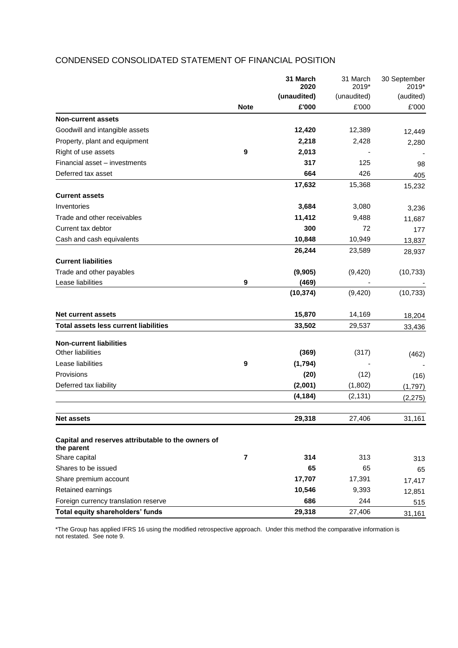|                                                                  |                         | 31 March<br>2020 | 31 March<br>2019* | 30 September<br>2019*<br>(audited) |
|------------------------------------------------------------------|-------------------------|------------------|-------------------|------------------------------------|
|                                                                  |                         | (unaudited)      | (unaudited)       |                                    |
|                                                                  | <b>Note</b>             | £'000            | £'000             | £'000                              |
| <b>Non-current assets</b>                                        |                         |                  |                   |                                    |
| Goodwill and intangible assets                                   |                         | 12,420           | 12,389            | 12,449                             |
| Property, plant and equipment                                    |                         | 2,218            | 2,428             | 2,280                              |
| Right of use assets                                              | $\boldsymbol{9}$        | 2,013            |                   |                                    |
| Financial asset - investments                                    |                         | 317              | 125               | 98                                 |
| Deferred tax asset                                               |                         | 664              | 426               | 405                                |
|                                                                  |                         | 17,632           | 15,368            | 15,232                             |
| <b>Current assets</b>                                            |                         |                  |                   |                                    |
| Inventories                                                      |                         | 3,684            | 3,080             | 3,236                              |
| Trade and other receivables                                      |                         | 11,412           | 9,488             | 11,687                             |
| Current tax debtor                                               |                         | 300              | 72                | 177                                |
| Cash and cash equivalents                                        |                         | 10,848           | 10,949            | 13,837                             |
|                                                                  |                         | 26,244           | 23,589            | 28,937                             |
| <b>Current liabilities</b>                                       |                         |                  |                   |                                    |
| Trade and other payables                                         |                         | (9,905)          | (9,420)           | (10, 733)                          |
| Lease liabilities                                                | 9                       | (469)            |                   |                                    |
|                                                                  |                         | (10, 374)        | (9, 420)          | (10, 733)                          |
| <b>Net current assets</b>                                        |                         | 15,870           | 14,169            | 18,204                             |
| <b>Total assets less current liabilities</b>                     |                         | 33,502           | 29,537            | 33,436                             |
|                                                                  |                         |                  |                   |                                    |
| <b>Non-current liabilities</b><br><b>Other liabilities</b>       |                         | (369)            | (317)             |                                    |
| Lease liabilities                                                | 9                       | (1,794)          |                   | (462)                              |
| Provisions                                                       |                         | (20)             |                   |                                    |
| Deferred tax liability                                           |                         | (2,001)          | (12)              | (16)                               |
|                                                                  |                         |                  | (1,802)           | (1,797)                            |
|                                                                  |                         | (4, 184)         | (2, 131)          | (2, 275)                           |
| <b>Net assets</b>                                                |                         | 29,318           | 27,406            | 31,161                             |
| Capital and reserves attributable to the owners of<br>the parent |                         |                  |                   |                                    |
| Share capital                                                    | $\overline{\mathbf{r}}$ | 314              | 313               | 313                                |
| Shares to be issued                                              |                         | 65               | 65                | 65                                 |
| Share premium account                                            |                         | 17,707           | 17,391            | 17,417                             |
| Retained earnings                                                |                         | 10,546           | 9,393             | 12,851                             |
| Foreign currency translation reserve                             |                         | 686              | 244               | 515                                |
| Total equity shareholders' funds                                 |                         | 29,318           | 27,406            | 31,161                             |

# CONDENSED CONSOLIDATED STATEMENT OF FINANCIAL POSITION

\*The Group has applied IFRS 16 using the modified retrospective approach. Under this method the comparative information is not restated. See note 9.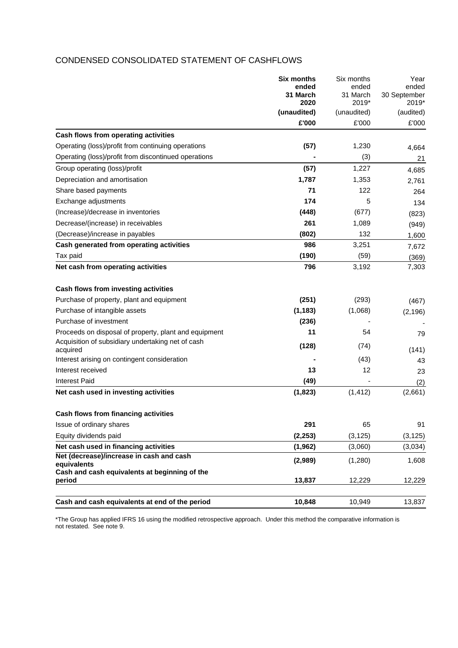# CONDENSED CONSOLIDATED STATEMENT OF CASHFLOWS

|                                                               | <b>Six months</b><br>ended | Six months<br>ended | Year<br>ended         |
|---------------------------------------------------------------|----------------------------|---------------------|-----------------------|
|                                                               | 31 March<br>2020           | 31 March<br>2019*   | 30 September<br>2019* |
|                                                               | (unaudited)                | (unaudited)         | (audited)             |
|                                                               | £'000                      | £'000               | £'000                 |
| Cash flows from operating activities                          |                            |                     |                       |
| Operating (loss)/profit from continuing operations            | (57)                       | 1,230               | 4,664                 |
| Operating (loss)/profit from discontinued operations          |                            | (3)                 | 21                    |
| Group operating (loss)/profit                                 | (57)                       | 1,227               | 4,685                 |
| Depreciation and amortisation                                 | 1,787                      | 1,353               | 2,761                 |
| Share based payments                                          | 71                         | 122                 | 264                   |
| Exchange adjustments                                          | 174                        | 5                   | 134                   |
| (Increase)/decrease in inventories                            | (448)                      | (677)               | (823)                 |
| Decrease/(increase) in receivables                            | 261                        | 1,089               | (949)                 |
| (Decrease)/increase in payables                               | (802)                      | 132                 | 1,600                 |
| Cash generated from operating activities                      | 986                        | 3,251               | 7,672                 |
| Tax paid                                                      | (190)                      | (59)                | (369)                 |
| Net cash from operating activities                            | 796                        | 3,192               | 7,303                 |
| Cash flows from investing activities                          |                            |                     |                       |
| Purchase of property, plant and equipment                     | (251)                      | (293)               | (467)                 |
| Purchase of intangible assets                                 | (1, 183)                   | (1,068)             | (2, 196)              |
| Purchase of investment                                        | (236)                      |                     |                       |
| Proceeds on disposal of property, plant and equipment         | 11                         | 54                  | 79                    |
| Acquisition of subsidiary undertaking net of cash<br>acquired | (128)                      | (74)                | (141)                 |
| Interest arising on contingent consideration                  |                            | (43)                | 43                    |
| Interest received                                             | 13                         | 12                  | 23                    |
| Interest Paid                                                 | (49)                       |                     | (2)                   |
| Net cash used in investing activities                         | (1,823)                    | (1, 412)            | (2,661)               |
| Cash flows from financing activities                          |                            |                     |                       |
| Issue of ordinary shares                                      | 291                        | 65                  | 91                    |
| Equity dividends paid                                         | (2, 253)                   | (3, 125)            | (3, 125)              |
| Net cash used in financing activities                         | (1, 962)                   | (3,060)             | (3,034)               |
| Net (decrease)/increase in cash and cash<br>equivalents       | (2,989)                    | (1,280)             | 1,608                 |
| Cash and cash equivalents at beginning of the<br>period       | 13,837                     | 12,229              | 12,229                |
|                                                               |                            |                     |                       |
| Cash and cash equivalents at end of the period                | 10,848                     | 10,949              | 13,837                |

\*The Group has applied IFRS 16 using the modified retrospective approach. Under this method the comparative information is not restated. See note 9.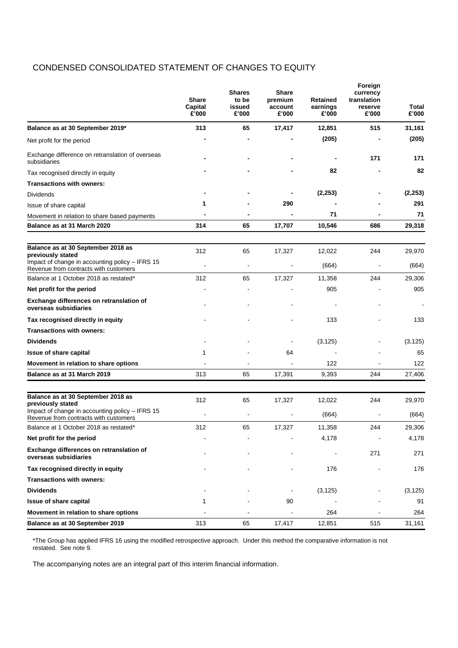# CONDENSED CONSOLIDATED STATEMENT OF CHANGES TO EQUITY

|                                                                                          | <b>Share</b><br>Capital<br>£'000 | <b>Shares</b><br>to be<br>issued<br>£'000 | <b>Share</b><br>premium<br>account<br>£'000 | <b>Retained</b><br>earnings<br>£'000 | Foreign<br>currency<br>translation<br>reserve<br>£'000 | Total<br>£'000 |
|------------------------------------------------------------------------------------------|----------------------------------|-------------------------------------------|---------------------------------------------|--------------------------------------|--------------------------------------------------------|----------------|
| Balance as at 30 September 2019*                                                         | 313                              | 65                                        | 17,417                                      | 12,851                               | 515                                                    | 31,161         |
| Net profit for the period                                                                |                                  |                                           |                                             | (205)                                |                                                        | (205)          |
| Exchange difference on retranslation of overseas<br>subsidiaries                         |                                  |                                           |                                             |                                      | 171                                                    | 171            |
| Tax recognised directly in equity                                                        |                                  |                                           |                                             | 82                                   |                                                        | 82             |
| <b>Transactions with owners:</b>                                                         |                                  |                                           |                                             |                                      |                                                        |                |
| Dividends                                                                                |                                  |                                           |                                             | (2, 253)                             |                                                        | (2, 253)       |
| Issue of share capital                                                                   | 1                                |                                           | 290                                         |                                      |                                                        | 291            |
| Movement in relation to share based payments                                             |                                  |                                           |                                             | 71                                   |                                                        | 71             |
| Balance as at 31 March 2020                                                              | 314                              | 65                                        | 17,707                                      | 10,546                               | 686                                                    | 29,318         |
|                                                                                          |                                  |                                           |                                             |                                      |                                                        |                |
| Balance as at 30 September 2018 as<br>previously stated                                  | 312                              | 65                                        | 17,327                                      | 12,022                               | 244                                                    | 29,970         |
| Impact of change in accounting policy - IFRS 15<br>Revenue from contracts with customers |                                  |                                           |                                             | (664)                                |                                                        | (664)          |
| Balance at 1 October 2018 as restated*                                                   | 312                              | 65                                        | 17,327                                      | 11,358                               | 244                                                    | 29,306         |
| Net profit for the period                                                                |                                  |                                           |                                             | 905                                  |                                                        | 905            |
| Exchange differences on retranslation of<br>overseas subsidiaries                        |                                  |                                           |                                             |                                      |                                                        |                |
| Tax recognised directly in equity                                                        |                                  |                                           |                                             | 133                                  |                                                        | 133            |
| Transactions with owners:                                                                |                                  |                                           |                                             |                                      |                                                        |                |
| <b>Dividends</b>                                                                         |                                  |                                           |                                             | (3, 125)                             |                                                        | (3, 125)       |
| <b>Issue of share capital</b>                                                            | 1                                |                                           | 64                                          |                                      |                                                        | 65             |
| Movement in relation to share options                                                    |                                  |                                           |                                             | 122                                  |                                                        | 122            |
| Balance as at 31 March 2019                                                              | 313                              | 65                                        | 17,391                                      | 9,393                                | 244                                                    | 27,406         |
|                                                                                          |                                  |                                           |                                             |                                      |                                                        |                |
| Balance as at 30 September 2018 as<br>previously stated                                  | 312                              | 65                                        | 17,327                                      | 12,022                               | 244                                                    | 29,970         |
| Impact of change in accounting policy - IFRS 15<br>Revenue from contracts with customers |                                  |                                           |                                             | (664)                                |                                                        | (664)          |
| Balance at 1 October 2018 as restated*                                                   | 312                              | 65                                        | 17,327                                      | 11,358                               | 244                                                    | 29,306         |
| Net profit for the period                                                                |                                  |                                           |                                             | 4,178                                |                                                        | 4,178          |
| Exchange differences on retranslation of<br>overseas subsidiaries                        |                                  |                                           |                                             |                                      | 271                                                    | 271            |
| Tax recognised directly in equity                                                        |                                  |                                           |                                             | 176                                  |                                                        | 176            |
| <b>Transactions with owners:</b>                                                         |                                  |                                           |                                             |                                      |                                                        |                |
| <b>Dividends</b>                                                                         |                                  |                                           |                                             | (3, 125)                             |                                                        | (3, 125)       |
| Issue of share capital                                                                   | 1                                |                                           | 90                                          |                                      |                                                        | 91             |
| Movement in relation to share options                                                    |                                  |                                           | $\blacksquare$                              | 264                                  |                                                        | 264            |
| Balance as at 30 September 2019                                                          | 313                              | 65                                        | 17,417                                      | 12,851                               | 515                                                    | 31,161         |

\*The Group has applied IFRS 16 using the modified retrospective approach. Under this method the comparative information is not restated. See note 9.

The accompanying notes are an integral part of this interim financial information.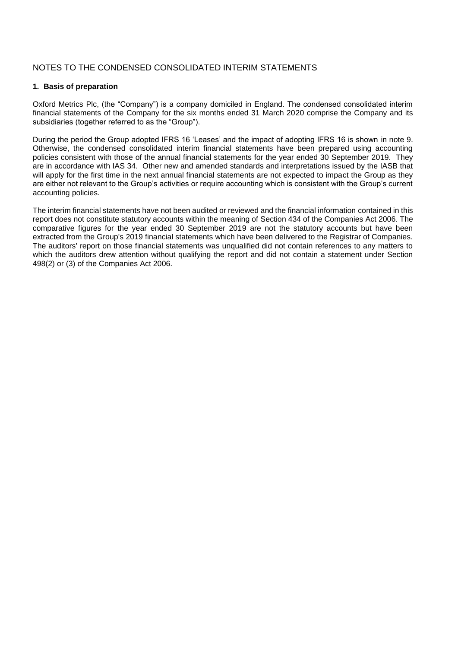# NOTES TO THE CONDENSED CONSOLIDATED INTERIM STATEMENTS

#### **1. Basis of preparation**

Oxford Metrics Plc, (the "Company") is a company domiciled in England. The condensed consolidated interim financial statements of the Company for the six months ended 31 March 2020 comprise the Company and its subsidiaries (together referred to as the "Group").

During the period the Group adopted IFRS 16 'Leases' and the impact of adopting IFRS 16 is shown in note 9. Otherwise, the condensed consolidated interim financial statements have been prepared using accounting policies consistent with those of the annual financial statements for the year ended 30 September 2019. They are in accordance with IAS 34. Other new and amended standards and interpretations issued by the IASB that will apply for the first time in the next annual financial statements are not expected to impact the Group as they are either not relevant to the Group's activities or require accounting which is consistent with the Group's current accounting policies.

The interim financial statements have not been audited or reviewed and the financial information contained in this report does not constitute statutory accounts within the meaning of Section 434 of the Companies Act 2006. The comparative figures for the year ended 30 September 2019 are not the statutory accounts but have been extracted from the Group's 2019 financial statements which have been delivered to the Registrar of Companies. The auditors' report on those financial statements was unqualified did not contain references to any matters to which the auditors drew attention without qualifying the report and did not contain a statement under Section 498(2) or (3) of the Companies Act 2006.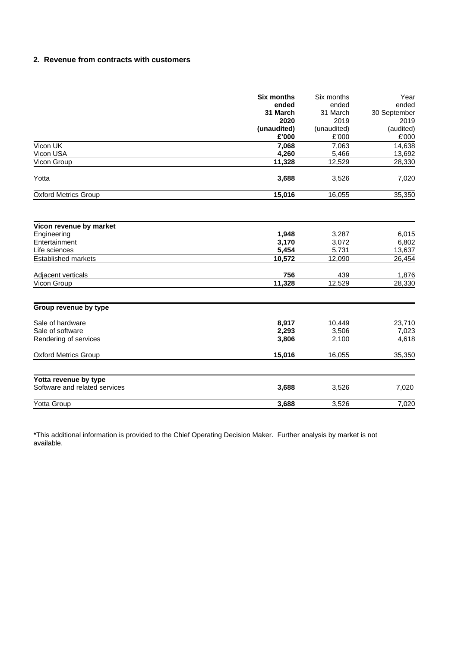## **2. 2. Revenue from contracts with customers**

|                                                        | <b>Six months</b> | Six months  | Year         |  |
|--------------------------------------------------------|-------------------|-------------|--------------|--|
|                                                        | ended             | ended       | ended        |  |
|                                                        | 31 March          | 31 March    | 30 September |  |
|                                                        | 2020              | 2019        | 2019         |  |
|                                                        | (unaudited)       | (unaudited) | (audited)    |  |
|                                                        | £'000             | £'000       | £'000        |  |
| Vicon UK                                               | 7,068             | 7,063       | 14,638       |  |
| Vicon USA                                              | 4,260             | 5,466       | 13,692       |  |
| Vicon Group                                            | 11,328            | 12,529      | 28,330       |  |
| Yotta                                                  | 3,688             | 3,526       | 7,020        |  |
| <b>Oxford Metrics Group</b>                            | 15,016            | 16,055      | 35,350       |  |
|                                                        |                   |             |              |  |
| Vicon revenue by market                                |                   |             |              |  |
| Engineering                                            | 1,948             | 3,287       | 6,015        |  |
| Entertainment                                          | 3,170             | 3,072       | 6,802        |  |
| Life sciences                                          | 5,454             | 5,731       | 13,637       |  |
| <b>Established markets</b>                             | 10,572            | 12,090      | 26,454       |  |
| Adjacent verticals                                     | 756               | 439         | 1,876        |  |
| Vicon Group                                            | 11,328            | 12,529      | 28,330       |  |
|                                                        |                   |             |              |  |
| Group revenue by type                                  |                   |             |              |  |
| Sale of hardware                                       | 8,917             | 10,449      | 23,710       |  |
| Sale of software                                       | 2,293             | 3,506       | 7,023        |  |
| Rendering of services                                  | 3,806             | 2,100       | 4,618        |  |
| <b>Oxford Metrics Group</b>                            | 15,016            | 16,055      | 35,350       |  |
|                                                        |                   |             |              |  |
| Yotta revenue by type<br>Software and related services | 3,688             | 3,526       | 7,020        |  |
|                                                        |                   |             |              |  |
| Yotta Group                                            | 3,688             | 3,526       | 7,020        |  |

\*This additional information is provided to the Chief Operating Decision Maker. Further analysis by market is not available.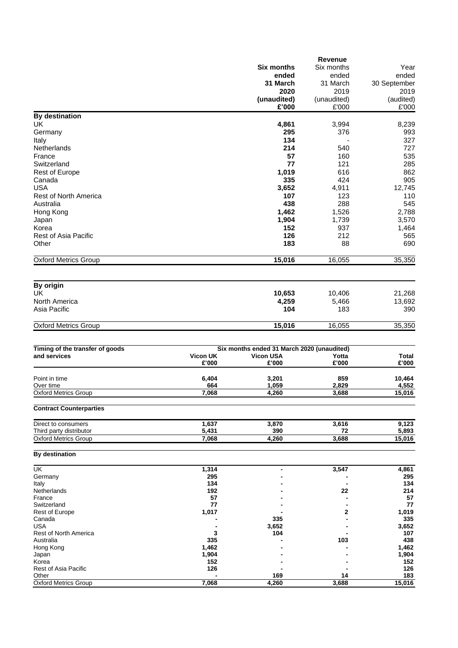|                                 |                 |                                            | <b>Revenue</b> |              |
|---------------------------------|-----------------|--------------------------------------------|----------------|--------------|
|                                 |                 | <b>Six months</b>                          | Six months     | Year         |
|                                 |                 | ended                                      | ended          | ended        |
|                                 |                 |                                            |                |              |
|                                 |                 | 31 March                                   | 31 March       | 30 September |
|                                 |                 | 2020                                       | 2019           | 2019         |
|                                 |                 | (unaudited)                                | (unaudited)    | (audited)    |
|                                 |                 | £'000                                      | £'000          | £'000        |
| <b>By destination</b>           |                 |                                            |                |              |
|                                 |                 |                                            |                |              |
| UK                              |                 | 4,861                                      | 3,994          | 8,239        |
| Germany                         |                 | 295                                        | 376            | 993          |
| Italy                           |                 | 134                                        |                | 327          |
| Netherlands                     |                 | 214                                        | 540            | 727          |
| France                          |                 | 57                                         |                |              |
|                                 |                 |                                            | 160            | 535          |
| Switzerland                     |                 | 77                                         | 121            | 285          |
| <b>Rest of Europe</b>           |                 | 1,019                                      | 616            | 862          |
| Canada                          |                 | 335                                        | 424            | 905          |
| <b>USA</b>                      |                 | 3,652                                      | 4,911          | 12,745       |
|                                 |                 |                                            |                |              |
| Rest of North America           |                 | 107                                        | 123            | 110          |
| Australia                       |                 | 438                                        | 288            | 545          |
| Hong Kong                       |                 | 1,462                                      | 1,526          | 2,788        |
| Japan                           |                 | 1,904                                      | 1,739          | 3,570        |
| Korea                           |                 | 152                                        | 937            | 1,464        |
|                                 |                 |                                            |                |              |
| Rest of Asia Pacific            |                 | 126                                        | 212            | 565          |
| Other                           |                 | 183                                        | 88             | 690          |
|                                 |                 |                                            |                |              |
| <b>Oxford Metrics Group</b>     |                 | 15,016                                     | 16,055         | 35,350       |
|                                 |                 |                                            |                |              |
| By origin                       |                 |                                            |                |              |
| UK                              |                 | 10,653                                     | 10,406         | 21,268       |
| North America                   |                 | 4,259                                      | 5,466          | 13,692       |
| Asia Pacific                    |                 | 104                                        | 183            | 390          |
|                                 |                 |                                            |                |              |
| <b>Oxford Metrics Group</b>     |                 | 15,016                                     | 16,055         | 35,350       |
| Timing of the transfer of goods |                 | Six months ended 31 March 2020 (unaudited) |                |              |
| and services                    | <b>Vicon UK</b> | <b>Vicon USA</b>                           | Yotta          | Total        |
|                                 | £'000           | £'000                                      | £'000          | £'000        |
|                                 |                 |                                            |                |              |
| Point in time                   | 6,404           | 3,201                                      | 859            | 10,464       |
| Over time                       | 664             | 1,059                                      | 2,829          | 4,552        |
| Oxford Metrics Group            | 7,068           | 4,260                                      | 3,688          | 15,016       |
|                                 |                 |                                            |                |              |
| <b>Contract Counterparties</b>  |                 |                                            |                |              |
| Direct to consumers             | 1,637           | 3,870                                      | 3,616          | 9,123        |
| Third party distributor         | 5,431           | 390                                        | 72             | 5,893        |
| <b>Oxford Metrics Group</b>     | 7,068           | 4,260                                      | 3,688          | 15,016       |
| By destination                  |                 |                                            |                |              |
| $\overline{\mathsf{U}}$ K       | 1,314           | -                                          | 3,547          | 4,861        |
| Germany                         | 295             |                                            |                | 295          |
| Italy                           | 134             |                                            |                | 134          |
|                                 |                 |                                            |                |              |
| Netherlands<br>France           | 192<br>57       |                                            | 22             | 214<br>57    |
|                                 |                 |                                            |                |              |
| Switzerland                     | 77              |                                            |                | 77           |
| Rest of Europe                  | 1,017           |                                            | 2              | 1,019        |
| Canada                          |                 | 335                                        |                | 335          |
| <b>USA</b>                      |                 | 3,652                                      |                | 3,652        |
| Rest of North America           | 3               | 104                                        |                | 107          |
| Australia                       | 335             |                                            | 103            | 438          |
| Hong Kong                       | 1,462           |                                            |                | 1,462        |
| Japan                           | 1,904           |                                            |                | 1,904        |
| Korea                           | 152             |                                            |                | 152          |
| Rest of Asia Pacific            | 126             |                                            |                | 126          |
| Other                           |                 | 169                                        | 14             | 183          |
| <b>Oxford Metrics Group</b>     | 7,068           | 4,260                                      | 3,688          | 15,016       |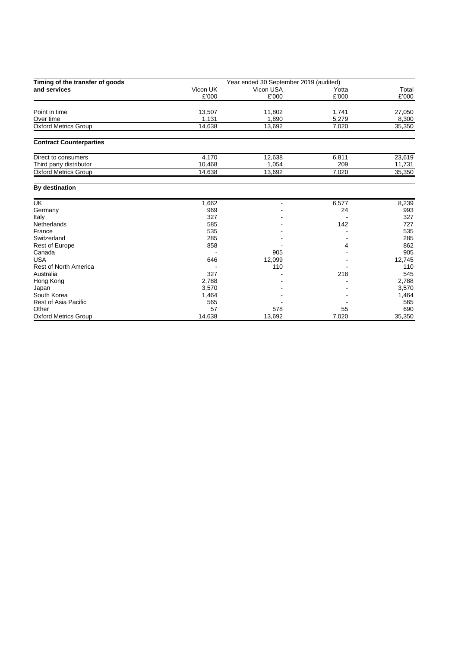| Timing of the transfer of goods | Year ended 30 September 2019 (audited) |           |       |        |  |
|---------------------------------|----------------------------------------|-----------|-------|--------|--|
| and services                    | Vicon UK                               | Vicon USA | Yotta | Total  |  |
|                                 | £'000                                  | £'000     | £'000 | £'000  |  |
| Point in time                   | 13,507                                 | 11,802    | 1,741 | 27,050 |  |
| Over time                       | 1,131                                  | 1,890     | 5,279 | 8,300  |  |
| <b>Oxford Metrics Group</b>     | 14,638                                 | 13,692    | 7,020 | 35,350 |  |
| <b>Contract Counterparties</b>  |                                        |           |       |        |  |
| Direct to consumers             | 4,170                                  | 12,638    | 6,811 | 23,619 |  |
| Third party distributor         | 10,468                                 | 1,054     | 209   | 11,731 |  |
| <b>Oxford Metrics Group</b>     | 14,638                                 | 13,692    | 7,020 | 35,350 |  |
| By destination                  |                                        |           |       |        |  |
| <b>UK</b>                       | 1,662                                  |           | 6,577 | 8,239  |  |
| Germany                         | 969                                    |           | 24    | 993    |  |
| Italy                           | 327                                    |           |       | 327    |  |
| <b>Netherlands</b>              | 585                                    |           | 142   | 727    |  |
| France                          | 535                                    |           |       | 535    |  |
| Switzerland                     | 285                                    |           |       | 285    |  |
| Rest of Europe                  | 858                                    |           | 4     | 862    |  |
| Canada                          |                                        | 905       |       | 905    |  |
| <b>USA</b>                      | 646                                    | 12,099    |       | 12,745 |  |
| <b>Rest of North America</b>    |                                        | 110       |       | 110    |  |
| Australia                       | 327                                    |           | 218   | 545    |  |
| Hong Kong                       | 2,788                                  |           |       | 2,788  |  |
| Japan                           | 3,570                                  |           |       | 3,570  |  |
| South Korea                     | 1,464                                  |           |       | 1,464  |  |
| <b>Rest of Asia Pacific</b>     | 565                                    |           |       | 565    |  |
| Other                           | 57                                     | 578       | 55    | 690    |  |
| <b>Oxford Metrics Group</b>     | 14.638                                 | 13.692    | 7.020 | 35,350 |  |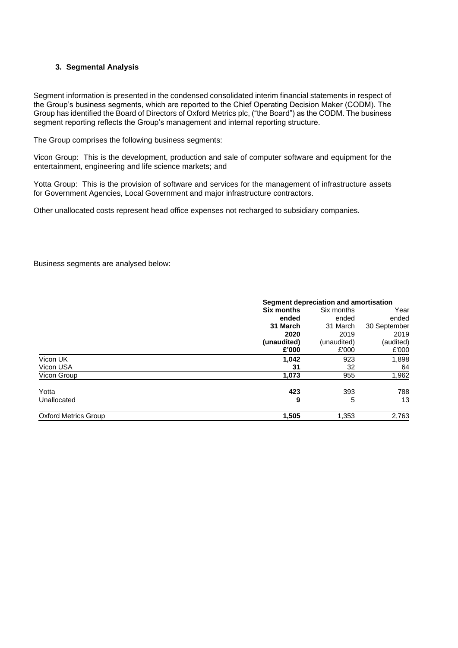## **3. Segmental Analysis**

Segment information is presented in the condensed consolidated interim financial statements in respect of the Group's business segments, which are reported to the Chief Operating Decision Maker (CODM). The Group has identified the Board of Directors of Oxford Metrics plc, ("the Board") as the CODM. The business segment reporting reflects the Group's management and internal reporting structure.

The Group comprises the following business segments:

Vicon Group: This is the development, production and sale of computer software and equipment for the entertainment, engineering and life science markets; and

Yotta Group: This is the provision of software and services for the management of infrastructure assets for Government Agencies, Local Government and major infrastructure contractors.

Other unallocated costs represent head office expenses not recharged to subsidiary companies.

Business segments are analysed below:

|                             | Segment depreciation and amortisation |             |              |  |  |
|-----------------------------|---------------------------------------|-------------|--------------|--|--|
|                             | Six months                            | Six months  | Year         |  |  |
|                             | ended                                 | ended       | ended        |  |  |
|                             | 31 March                              | 31 March    | 30 September |  |  |
|                             | 2020                                  | 2019        | 2019         |  |  |
|                             | (unaudited)                           | (unaudited) | (audited)    |  |  |
|                             | £'000                                 | £'000       | £'000        |  |  |
| Vicon UK                    | 1,042                                 | 923         | 1,898        |  |  |
| Vicon USA                   | 31                                    | 32          | 64           |  |  |
| Vicon Group                 | 1,073                                 | 955         | 1,962        |  |  |
| Yotta                       | 423                                   | 393         | 788          |  |  |
| Unallocated                 | 9                                     | 5           | 13           |  |  |
| <b>Oxford Metrics Group</b> | 1,505                                 | 1,353       | 2,763        |  |  |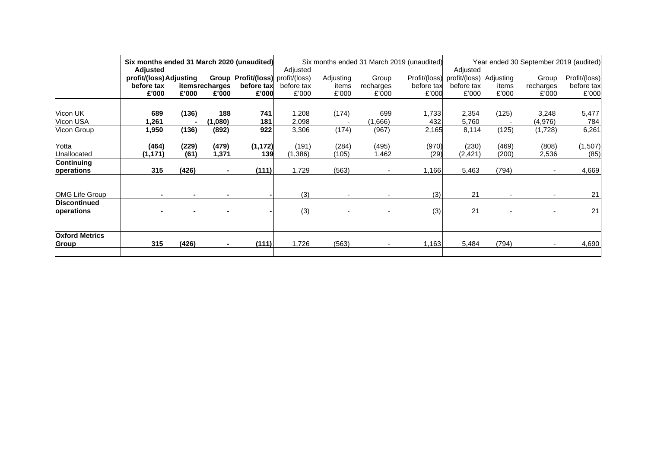|                                   | Six months ended 31 March 2020 (unaudited)                                             |               |                                                 | Six months ended 31 March 2019 (unaudited) |                     |                                              | Year ended 30 September 2019 (audited) |                     |                     |                |                    |                     |
|-----------------------------------|----------------------------------------------------------------------------------------|---------------|-------------------------------------------------|--------------------------------------------|---------------------|----------------------------------------------|----------------------------------------|---------------------|---------------------|----------------|--------------------|---------------------|
|                                   | <b>Adjusted</b><br><b>Group Profit/(loss)</b> profit/(loss)<br>profit/(loss) Adjusting |               | Adjusted<br>Profit/(loss)<br>Adjusting<br>Group |                                            |                     | Adjusted<br>profit/(loss) Adjusting<br>Group |                                        |                     | Profit/(loss)       |                |                    |                     |
|                                   | before tax<br>£'000                                                                    | £'000         | itemsrecharges<br>£'000                         | before tax<br>£'000                        | before tax<br>£'000 | items<br>£'000                               | recharges<br>£'000                     | before tax<br>£'000 | before tax<br>£'000 | items<br>£'000 | recharges<br>£'000 | before tax<br>£'000 |
|                                   |                                                                                        |               |                                                 |                                            |                     |                                              |                                        |                     |                     |                |                    |                     |
| Vicon UK<br>Vicon USA             | 689<br>1,261                                                                           | (136)         | 188<br>(1,080)                                  | 741<br>181                                 | 1,208<br>2,098      | (174)                                        | 699<br>(1,666)                         | 1,733<br>432        | 2,354<br>5,760      | (125)          | 3,248<br>(4,976)   | 5,477<br>784        |
| Vicon Group                       | 1,950                                                                                  | (136)         | (892)                                           | 922                                        | 3,306               | (174)                                        | (967)                                  | 2,165               | 8,114               | (125)          | (1,728)            | 6,261               |
| Yotta<br>Unallocated              | (464)<br>(1,171)                                                                       | (229)<br>(61) | (479)<br>1,371                                  | (1, 172)<br>139                            | (191)<br>(1,386)    | (284)<br>(105)                               | (495)<br>1,462                         | (970)<br>(29)       | (230)<br>(2, 421)   | (469)<br>(200) | (808)<br>2,536     | (1,507)<br>(85)     |
| Continuing<br>operations          | 315                                                                                    | (426)         | $\blacksquare$                                  | (111)                                      | 1,729               | (563)                                        |                                        | 1,166               | 5,463               | (794)          |                    | 4,669               |
| <b>OMG Life Group</b>             |                                                                                        |               |                                                 |                                            | (3)                 |                                              |                                        | (3)                 | 21                  | $\blacksquare$ |                    | 21                  |
| <b>Discontinued</b><br>operations |                                                                                        |               |                                                 |                                            | (3)                 | $\blacksquare$                               |                                        | (3)                 | 21                  | $\blacksquare$ |                    | 21                  |
| <b>Oxford Metrics</b>             |                                                                                        |               |                                                 |                                            |                     |                                              |                                        |                     |                     |                |                    |                     |
| Group                             | 315                                                                                    | (426)         |                                                 | (111)                                      | 1,726               | (563)                                        |                                        | 1,163               | 5,484               | (794)          |                    | 4,690               |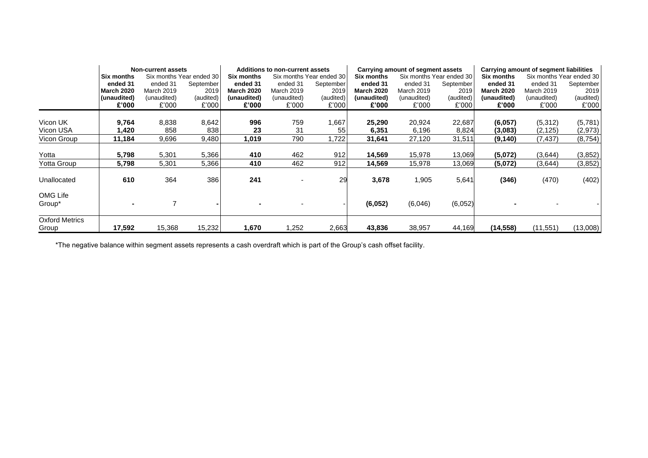|                       | <b>Non-current assets</b>                     |                   |                   | Additions to non-current assets |                          |                                        |                   | Carrying amount of segment assets |                                        | Carrying amount of segment liabilities |             |           |
|-----------------------|-----------------------------------------------|-------------------|-------------------|---------------------------------|--------------------------|----------------------------------------|-------------------|-----------------------------------|----------------------------------------|----------------------------------------|-------------|-----------|
|                       | Six months Year ended 30<br><b>Six months</b> |                   | <b>Six months</b> |                                 | Six months Year ended 30 | Six months Year ended 30<br>Six months |                   |                                   | Six months Year ended 30<br>Six months |                                        |             |           |
|                       | ended 31                                      | ended 31          | September         | ended 31                        | ended 31                 | September                              | ended 31          | ended 31                          | September                              | ended 31                               | ended 31    | September |
|                       | <b>March 2020</b>                             | <b>March 2019</b> | 2019              | <b>March 2020</b>               | March 2019               | 2019                                   | <b>March 2020</b> | March 2019                        | 2019                                   | <b>March 2020</b>                      | March 2019  | 2019      |
|                       | (unaudited)                                   | (unaudited)       | (audited)         | (unaudited)                     | (unaudited)              | (audited)                              | (unaudited)       | (unaudited)                       | (audited)                              | (unaudited)                            | (unaudited) | (audited) |
|                       | £'000                                         | £'000             | £'000             | £'000                           | £'000                    | £'000                                  | £'000             | £'000                             | £'000                                  | £'000                                  | £'000       | £'000     |
|                       |                                               |                   |                   |                                 |                          |                                        |                   |                                   |                                        |                                        |             |           |
| Vicon UK              | 9,764                                         | 8,838             | 8,642             | 996                             | 759                      | 1,667                                  | 25,290            | 20,924                            | 22,687                                 | (6.057)                                | (5,312)     | (5,781)   |
| Vicon USA             | 420. ا                                        | 858               | 838               | 23                              | 31                       | 55                                     | 6,351             | 6,196                             | 8,824                                  | (3,083)                                | (2, 125)    | (2, 973)  |
| Vicon Group           | 11,184                                        | 9,696             | 9,480             | 1,019                           | 790                      | ,722                                   | 31,641            | 27,120                            | 31,511                                 | (9, 140)                               | (7, 437)    | (8, 754)  |
|                       |                                               |                   |                   |                                 |                          |                                        |                   |                                   |                                        |                                        |             |           |
| Yotta                 | 5,798                                         | 5,301             | 5,366             | 410                             | 462                      | 912                                    | 14,569            | 15,978                            | 13,069                                 | (5,072)                                | (3,644)     | (3,852)   |
| Yotta Group           | 5,798                                         | 5,301             | 5,366             | 410                             | 462                      | 912                                    | 14,569            | 15,978                            | 13,069                                 | (5,072)                                | (3,644)     | (3, 852)  |
| Unallocated           | 610                                           | 364               | 386               | 241                             |                          | 29                                     | 3,678             | 1,905                             | 5,641                                  | (346)                                  | (470)       | (402)     |
| OMG Life              |                                               |                   |                   |                                 |                          |                                        |                   |                                   |                                        |                                        |             |           |
| Group*                |                                               |                   |                   |                                 |                          |                                        | (6,052)           | (6,046)                           | (6,052)                                |                                        |             |           |
| <b>Oxford Metrics</b> |                                               |                   |                   |                                 |                          |                                        |                   |                                   |                                        |                                        |             |           |
| Group                 | 17,592                                        | 15,368            | 15,232            | 1,670                           | 1,252                    | 2,663                                  | 43,836            | 38,957                            | 44,169                                 | (14, 558)                              | (11, 551)   | (13,008)  |

\*The negative balance within segment assets represents a cash overdraft which is part of the Group's cash offset facility.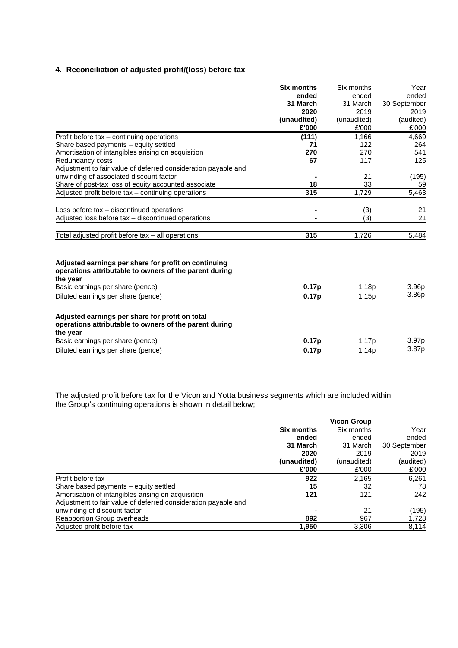# **4. Reconciliation of adjusted profit/(loss) before tax**

|                                                                                                                       | <b>Six months</b> | Six months  | Year              |
|-----------------------------------------------------------------------------------------------------------------------|-------------------|-------------|-------------------|
|                                                                                                                       | ended             | ended       | ended             |
|                                                                                                                       | 31 March          | 31 March    | 30 September      |
|                                                                                                                       | 2020              | 2019        | 2019              |
|                                                                                                                       | (unaudited)       | (unaudited) | (audited)         |
|                                                                                                                       | £'000             | £'000       | £'000             |
| Profit before tax - continuing operations                                                                             | (111)             | 1,166       | 4,669             |
| Share based payments - equity settled                                                                                 | 71                | 122         | 264               |
| Amortisation of intangibles arising on acquisition                                                                    | 270               | 270         | 541               |
| Redundancy costs                                                                                                      | 67                | 117         | 125               |
| Adjustment to fair value of deferred consideration payable and                                                        |                   |             |                   |
| unwinding of associated discount factor                                                                               |                   | 21          | (195)             |
| Share of post-tax loss of equity accounted associate                                                                  | 18                | 33          | 59                |
| Adjusted profit before tax – continuing operations                                                                    | 315               | 1,729       | 5,463             |
|                                                                                                                       |                   |             |                   |
| Loss before tax - discontinued operations                                                                             | $\blacksquare$    | (3)         | 21                |
| Adjusted loss before tax - discontinued operations                                                                    |                   | (3)         | $\overline{21}$   |
|                                                                                                                       |                   |             |                   |
| Total adjusted profit before tax - all operations                                                                     | 315               | 1,726       | 5,484             |
|                                                                                                                       |                   |             |                   |
| Adjusted earnings per share for profit on continuing<br>operations attributable to owners of the parent during        |                   |             |                   |
| the year                                                                                                              |                   |             |                   |
| Basic earnings per share (pence)                                                                                      | 0.17p             | 1.18p       | 3.96 <sub>p</sub> |
| Diluted earnings per share (pence)                                                                                    | 0.17p             | 1.15p       | 3.86 <sub>p</sub> |
| Adjusted earnings per share for profit on total<br>operations attributable to owners of the parent during<br>the year |                   |             |                   |
| Basic earnings per share (pence)                                                                                      | 0.17 <sub>p</sub> | 1.17p       | 3.97p             |
| Diluted earnings per share (pence)                                                                                    | 0.17p             | 1.14p       | 3.87p             |

The adjusted profit before tax for the Vicon and Yotta business segments which are included within the Group's continuing operations is shown in detail below;

|                                                                | <b>Six months</b> | Six months  | Year         |  |
|----------------------------------------------------------------|-------------------|-------------|--------------|--|
|                                                                | ended             | ended       | ended        |  |
|                                                                | 31 March          | 31 March    | 30 September |  |
|                                                                | 2020              | 2019        | 2019         |  |
|                                                                | (unaudited)       | (unaudited) | (audited)    |  |
|                                                                | £'000             | £'000       | £'000        |  |
| Profit before tax                                              | 922               | 2.165       | 6.261        |  |
| Share based payments – equity settled                          | 15                | 32          | 78           |  |
| Amortisation of intangibles arising on acquisition             | 121               | 121         | 242          |  |
| Adjustment to fair value of deferred consideration payable and |                   |             |              |  |
| unwinding of discount factor                                   |                   | 21          | (195)        |  |
| Reapportion Group overheads                                    | 892               | 967         | 1,728        |  |
| Adjusted profit before tax                                     | 1,950             | 3,306       | 8,114        |  |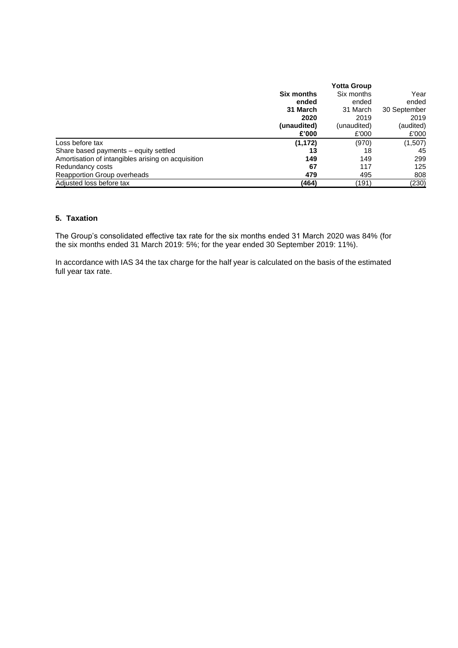|                                                    | <b>Six months</b> | Six months  | Year         |
|----------------------------------------------------|-------------------|-------------|--------------|
|                                                    | ended             | ended       | ended        |
|                                                    | 31 March          | 31 March    | 30 September |
|                                                    | 2020              | 2019        | 2019         |
|                                                    | (unaudited)       | (unaudited) | (audited)    |
|                                                    | £'000             | £'000       | £'000        |
| Loss before tax                                    | (1, 172)          | (970)       | (1,507)      |
| Share based payments – equity settled              | 13                | 18          | 45           |
| Amortisation of intangibles arising on acquisition | 149               | 149         | 299          |
| Redundancy costs                                   | 67                | 117         | 125          |
| Reapportion Group overheads                        | 479               | 495         | 808          |
| Adjusted loss before tax                           | (464)             | (191)       | (230)        |

## **5. Taxation**

The Group's consolidated effective tax rate for the six months ended 31 March 2020 was 84% (for the six months ended 31 March 2019: 5%; for the year ended 30 September 2019: 11%).

In accordance with IAS 34 the tax charge for the half year is calculated on the basis of the estimated full year tax rate.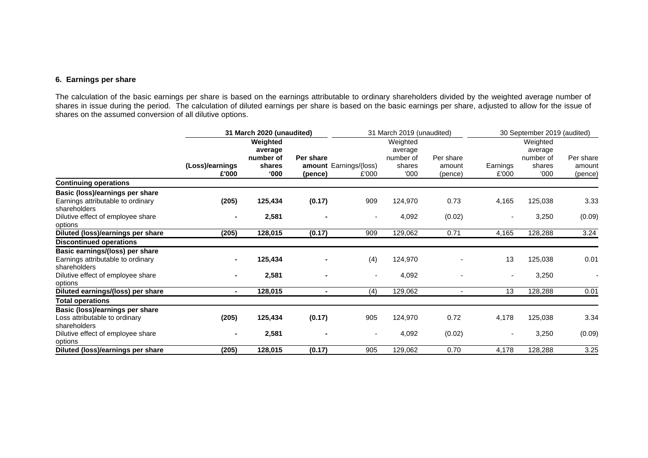## **6. Earnings per share**

The calculation of the basic earnings per share is based on the earnings attributable to ordinary shareholders divided by the weighted average number of shares in issue during the period. The calculation of diluted earnings per share is based on the basic earnings per share, adjusted to allow for the issue of shares on the assumed conversion of all dilutive options.

| Weighted<br>Weighted<br>Weighted<br>average<br>average<br>average                                                                                                                                                                       | Per share         |
|-----------------------------------------------------------------------------------------------------------------------------------------------------------------------------------------------------------------------------------------|-------------------|
| number of<br>Per share<br>number of<br>Per share<br>number of<br>(Loss)/earnings<br>shares<br>amount Earnings/(loss)<br>shares<br>Earnings<br>shares<br>amount<br>000'<br>'000<br>£'000<br>000'<br>£'000<br>£'000<br>(pence)<br>(pence) | amount<br>(pence) |
| <b>Continuing operations</b>                                                                                                                                                                                                            |                   |
| Basic (loss)/earnings per share<br>(205)<br>125,434<br>(0.17)<br>909<br>124,970<br>0.73<br>4,165<br>125,038<br>Earnings attributable to ordinary<br>shareholders                                                                        | 3.33              |
| Dilutive effect of employee share<br>2,581<br>(0.02)<br>4,092<br>3,250<br>options                                                                                                                                                       | (0.09)            |
| (205)<br>128,015<br>909<br>0.71<br>4,165<br>128,288<br>Diluted (loss)/earnings per share<br>(0.17)<br>129,062                                                                                                                           | 3.24              |
| <b>Discontinued operations</b>                                                                                                                                                                                                          |                   |
| Basic earnings/(loss) per share<br>13<br>125,038<br>Earnings attributable to ordinary<br>125,434<br>(4)<br>124,970<br>shareholders                                                                                                      | 0.01              |
| Dilutive effect of employee share<br>2,581<br>3,250<br>4,092<br>options                                                                                                                                                                 |                   |
| Diluted earnings/(loss) per share<br>128,015<br>129,062<br>128,288<br>(4)<br>13<br>$\sim$<br>$\blacksquare$<br>$\blacksquare$                                                                                                           | 0.01              |
| <b>Total operations</b>                                                                                                                                                                                                                 |                   |
| Basic (loss)/earnings per share<br>(205)<br>4,178<br>125,434<br>(0.17)<br>905<br>124,970<br>0.72<br>125,038<br>Loss attributable to ordinary<br>shareholders                                                                            | 3.34              |
| 2,581<br>(0.02)<br>3,250<br>Dilutive effect of employee share<br>4,092<br>$\overline{\phantom{a}}$<br>$\sim$<br>$\overline{\phantom{a}}$<br>options                                                                                     | (0.09)            |
| Diluted (loss)/earnings per share<br>128,015<br>905<br>129,062<br>4,178<br>128,288<br>(205)<br>(0.17)<br>0.70                                                                                                                           | 3.25              |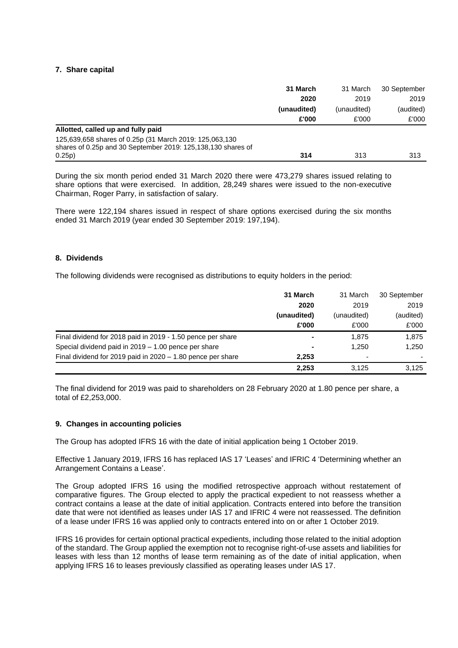#### **7. Share capital**

|                                                                                                                                   | 31 March    | 31 March    | 30 September |
|-----------------------------------------------------------------------------------------------------------------------------------|-------------|-------------|--------------|
|                                                                                                                                   | 2020        | 2019        | 2019         |
|                                                                                                                                   | (unaudited) | (unaudited) | (audited)    |
|                                                                                                                                   | £'000       | £'000       | £'000        |
| Allotted, called up and fully paid                                                                                                |             |             |              |
| 125,639,658 shares of 0.25p (31 March 2019: 125,063,130<br>shares of 0.25p and 30 September 2019: 125,138,130 shares of<br>0.25p) | 314         | 313         | 313          |

During the six month period ended 31 March 2020 there were 473,279 shares issued relating to share options that were exercised. In addition, 28,249 shares were issued to the non-executive Chairman, Roger Parry, in satisfaction of salary.

There were 122,194 shares issued in respect of share options exercised during the six months ended 31 March 2019 (year ended 30 September 2019: 197,194).

#### **8. Dividends**

The following dividends were recognised as distributions to equity holders in the period:

|                                                               | 31 March    | 31 March    | 30 September |
|---------------------------------------------------------------|-------------|-------------|--------------|
|                                                               | 2020        | 2019        | 2019         |
|                                                               | (unaudited) | (unaudited) | (audited)    |
|                                                               | £'000       | £'000       | £'000        |
| Final dividend for 2018 paid in 2019 - 1.50 pence per share   |             | 1.875       | 1,875        |
| Special dividend paid in 2019 – 1.00 pence per share          |             | 1.250       | 1,250        |
| Final dividend for 2019 paid in $2020 - 1.80$ pence per share | 2.253       |             |              |
|                                                               | 2,253       | 3.125       | 3,125        |

The final dividend for 2019 was paid to shareholders on 28 February 2020 at 1.80 pence per share, a total of £2,253,000.

#### **9. Changes in accounting policies**

The Group has adopted IFRS 16 with the date of initial application being 1 October 2019.

Effective 1 January 2019, IFRS 16 has replaced IAS 17 'Leases' and IFRIC 4 'Determining whether an Arrangement Contains a Lease'.

The Group adopted IFRS 16 using the modified retrospective approach without restatement of comparative figures. The Group elected to apply the practical expedient to not reassess whether a contract contains a lease at the date of initial application. Contracts entered into before the transition date that were not identified as leases under IAS 17 and IFRIC 4 were not reassessed. The definition of a lease under IFRS 16 was applied only to contracts entered into on or after 1 October 2019.

IFRS 16 provides for certain optional practical expedients, including those related to the initial adoption of the standard. The Group applied the exemption not to recognise right-of-use assets and liabilities for leases with less than 12 months of lease term remaining as of the date of initial application, when applying IFRS 16 to leases previously classified as operating leases under IAS 17.